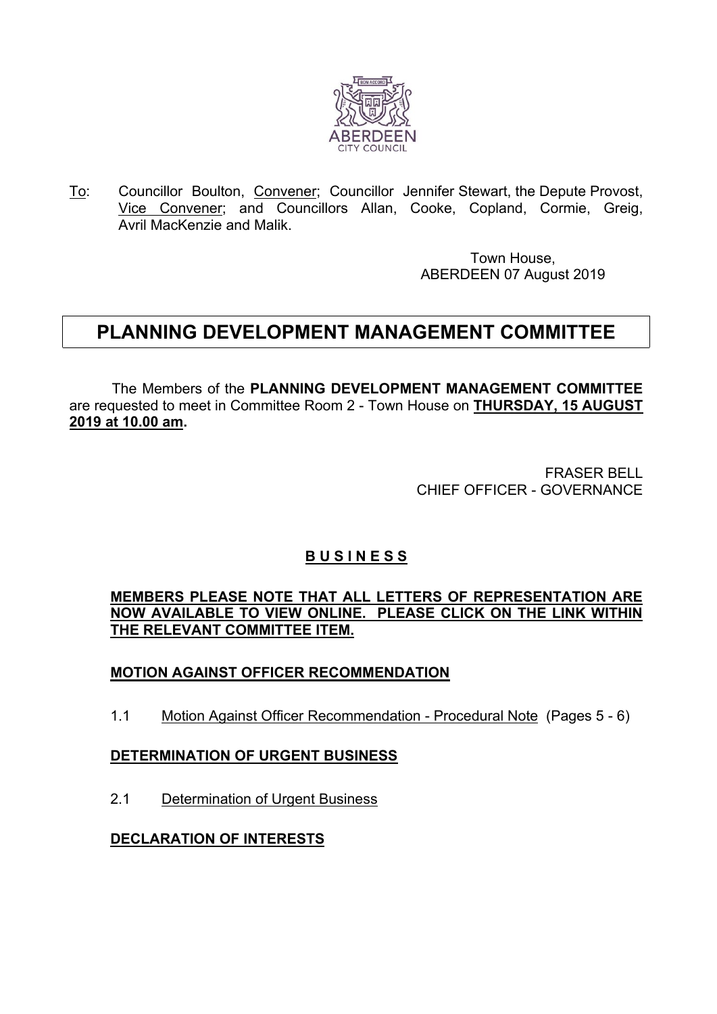

To: Councillor Boulton, Convener; Councillor Jennifer Stewart, the Depute Provost, Vice Convener; and Councillors Allan, Cooke, Copland, Cormie, Greig, Avril MacKenzie and Malik.

> Town House, ABERDEEN 07 August 2019

# **PLANNING DEVELOPMENT MANAGEMENT COMMITTEE**

The Members of the **PLANNING DEVELOPMENT MANAGEMENT COMMITTEE** are requested to meet in Committee Room 2 - Town House on **THURSDAY, 15 AUGUST 2019 at 10.00 am.**

> FRASER BELL CHIEF OFFICER - GOVERNANCE

## **B U S I N E S S**

**MEMBERS PLEASE NOTE THAT ALL LETTERS OF REPRESENTATION ARE NOW AVAILABLE TO VIEW ONLINE. PLEASE CLICK ON THE LINK WITHIN THE RELEVANT COMMITTEE ITEM.**

### **MOTION AGAINST OFFICER RECOMMENDATION**

1.1 Motion Against Officer Recommendation - Procedural Note (Pages 5 - 6)

#### **DETERMINATION OF URGENT BUSINESS**

2.1 Determination of Urgent Business

#### **DECLARATION OF INTERESTS**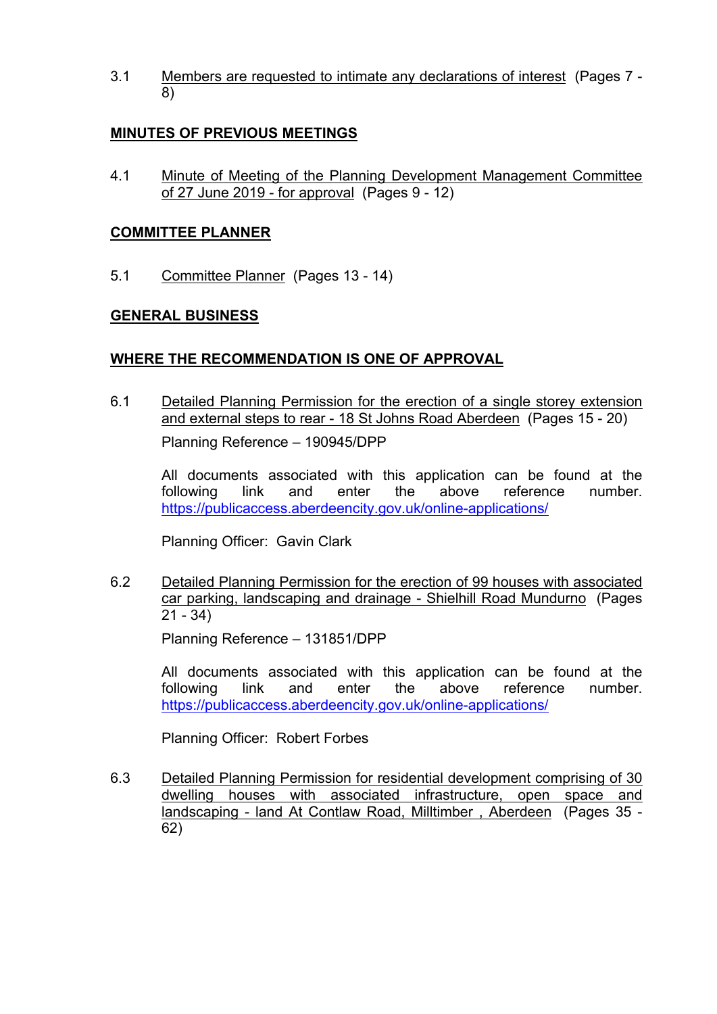3.1 Members are requested to intimate any declarations of interest (Pages 7 - 8)

#### **MINUTES OF PREVIOUS MEETINGS**

4.1 Minute of Meeting of the Planning Development Management Committee of 27 June 2019 - for approval (Pages 9 - 12)

#### **COMMITTEE PLANNER**

5.1 Committee Planner (Pages 13 - 14)

#### **GENERAL BUSINESS**

#### **WHERE THE RECOMMENDATION IS ONE OF APPROVAL**

6.1 Detailed Planning Permission for the erection of a single storey extension and external steps to rear - 18 St Johns Road Aberdeen (Pages 15 - 20) Planning Reference – 190945/DPP

All documents associated with this application can be found at the following link and enter the above reference number. <https://publicaccess.aberdeencity.gov.uk/online-applications/>

Planning Officer: Gavin Clark

6.2 Detailed Planning Permission for the erection of 99 houses with associated car parking, landscaping and drainage - Shielhill Road Mundurno (Pages  $21 - 34$ 

Planning Reference – 131851/DPP

All documents associated with this application can be found at the following link and enter the above reference number. <https://publicaccess.aberdeencity.gov.uk/online-applications/>

Planning Officer: Robert Forbes

6.3 Detailed Planning Permission for residential development comprising of 30 dwelling houses with associated infrastructure, open space and landscaping - land At Contlaw Road, Milltimber , Aberdeen (Pages 35 - 62)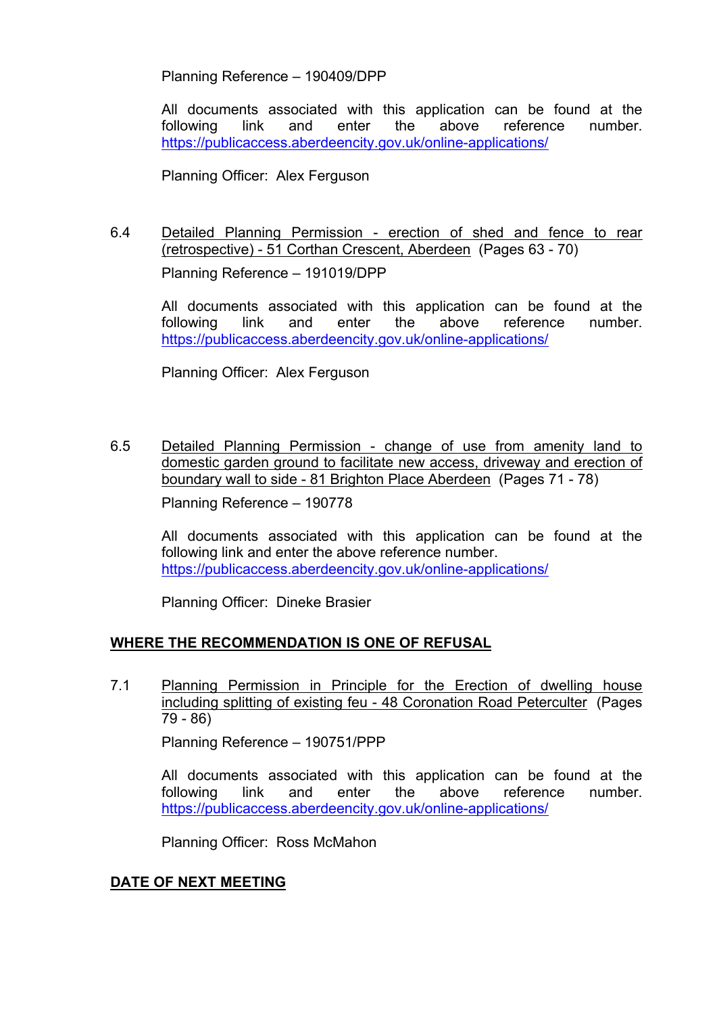Planning Reference – 190409/DPP

All documents associated with this application can be found at the following link and enter the above reference number. <https://publicaccess.aberdeencity.gov.uk/online-applications/>

Planning Officer: Alex Ferguson

6.4 Detailed Planning Permission - erection of shed and fence to rear (retrospective) - 51 Corthan Crescent, Aberdeen (Pages 63 - 70) Planning Reference – 191019/DPP

All documents associated with this application can be found at the following link and enter the above reference number. <https://publicaccess.aberdeencity.gov.uk/online-applications/>

Planning Officer: Alex Ferguson

6.5 Detailed Planning Permission - change of use from amenity land to domestic garden ground to facilitate new access, driveway and erection of boundary wall to side - 81 Brighton Place Aberdeen (Pages 71 - 78)

Planning Reference – 190778

All documents associated with this application can be found at the following link and enter the above reference number. <https://publicaccess.aberdeencity.gov.uk/online-applications/>

Planning Officer: Dineke Brasier

#### **WHERE THE RECOMMENDATION IS ONE OF REFUSAL**

7.1 Planning Permission in Principle for the Erection of dwelling house including splitting of existing feu - 48 Coronation Road Peterculter (Pages 79 - 86)

Planning Reference – 190751/PPP

All documents associated with this application can be found at the following link and enter the above reference number. <https://publicaccess.aberdeencity.gov.uk/online-applications/>

Planning Officer: Ross McMahon

#### **DATE OF NEXT MEETING**